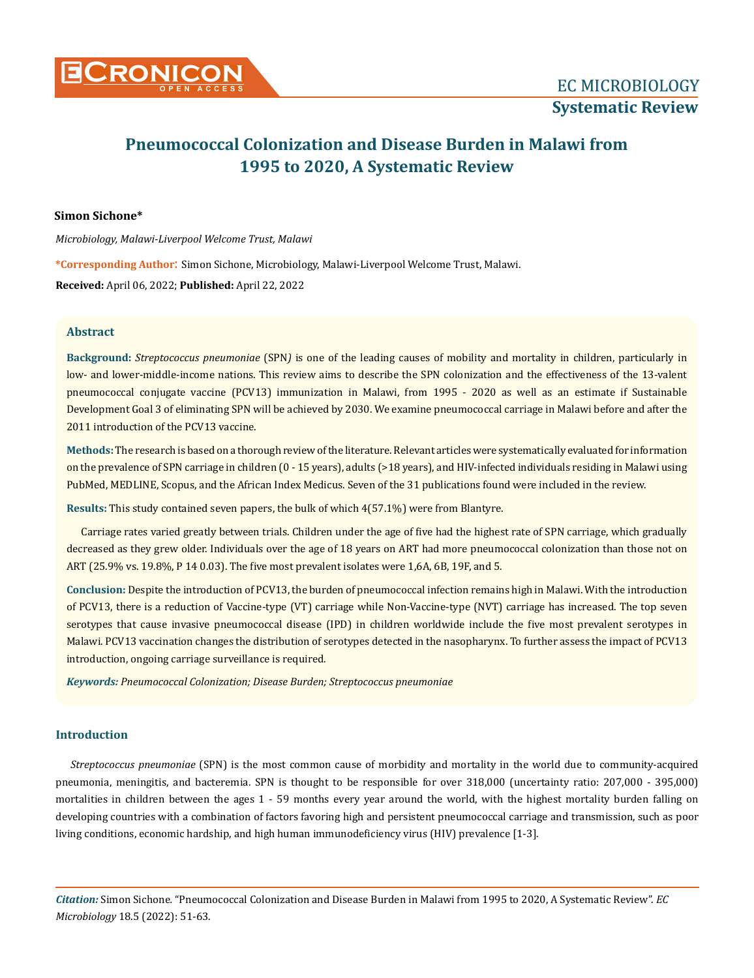

# **Pneumococcal Colonization and Disease Burden in Malawi from 1995 to 2020, A Systematic Review**

## **Simon Sichone\***

*Microbiology, Malawi-Liverpool Welcome Trust, Malawi*

**\*Corresponding Author**: Simon Sichone, Microbiology, Malawi-Liverpool Welcome Trust, Malawi.

**Received:** April 06, 2022; **Published:** April 22, 2022

# **Abstract**

**Background:** *Streptococcus pneumoniae* (SPN*)* is one of the leading causes of mobility and mortality in children, particularly in low- and lower-middle-income nations. This review aims to describe the SPN colonization and the effectiveness of the 13-valent pneumococcal conjugate vaccine (PCV13) immunization in Malawi, from 1995 - 2020 as well as an estimate if Sustainable Development Goal 3 of eliminating SPN will be achieved by 2030. We examine pneumococcal carriage in Malawi before and after the 2011 introduction of the PCV13 vaccine.

**Methods:** The research is based on a thorough review of the literature. Relevant articles were systematically evaluated for information on the prevalence of SPN carriage in children (0 - 15 years), adults (>18 years), and HIV-infected individuals residing in Malawi using PubMed, MEDLINE, Scopus, and the African Index Medicus. Seven of the 31 publications found were included in the review.

**Results:** This study contained seven papers, the bulk of which 4(57.1%) were from Blantyre.

Carriage rates varied greatly between trials. Children under the age of five had the highest rate of SPN carriage, which gradually decreased as they grew older. Individuals over the age of 18 years on ART had more pneumococcal colonization than those not on ART (25.9% vs. 19.8%, P 14 0.03). The five most prevalent isolates were 1,6A, 6B, 19F, and 5.

**Conclusion:** Despite the introduction of PCV13, the burden of pneumococcal infection remains high in Malawi. With the introduction of PCV13, there is a reduction of Vaccine-type (VT) carriage while Non-Vaccine-type (NVT) carriage has increased. The top seven serotypes that cause invasive pneumococcal disease (IPD) in children worldwide include the five most prevalent serotypes in Malawi. PCV13 vaccination changes the distribution of serotypes detected in the nasopharynx. To further assess the impact of PCV13 introduction, ongoing carriage surveillance is required.

*Keywords: Pneumococcal Colonization; Disease Burden; Streptococcus pneumoniae*

## **Introduction**

*Streptococcus pneumoniae* (SPN) is the most common cause of morbidity and mortality in the world due to community-acquired pneumonia, meningitis, and bacteremia. SPN is thought to be responsible for over 318,000 (uncertainty ratio: 207,000 - 395,000) mortalities in children between the ages 1 - 59 months every year around the world, with the highest mortality burden falling on developing countries with a combination of factors favoring high and persistent pneumococcal carriage and transmission, such as poor living conditions, economic hardship, and high human immunodeficiency virus (HIV) prevalence [1-3].

*Citation:* Simon Sichone*.* "Pneumococcal Colonization and Disease Burden in Malawi from 1995 to 2020, A Systematic Review". *EC Microbiology* 18.5 (2022): 51-63.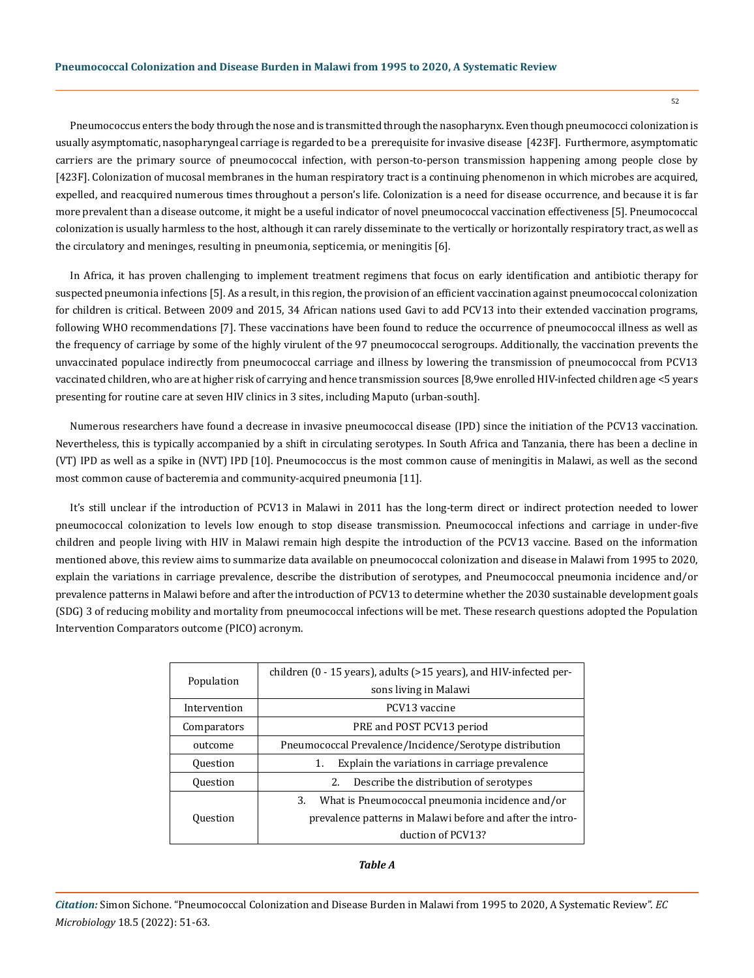Pneumococcus enters the body through the nose and is transmitted through the nasopharynx. Even though pneumococci colonization is usually asymptomatic, nasopharyngeal carriage is regarded to be a prerequisite for invasive disease [423F]. Furthermore, asymptomatic carriers are the primary source of pneumococcal infection, with person-to-person transmission happening among people close by [423F]. Colonization of mucosal membranes in the human respiratory tract is a continuing phenomenon in which microbes are acquired, expelled, and reacquired numerous times throughout a person's life. Colonization is a need for disease occurrence, and because it is far more prevalent than a disease outcome, it might be a useful indicator of novel pneumococcal vaccination effectiveness [5]. Pneumococcal colonization is usually harmless to the host, although it can rarely disseminate to the vertically or horizontally respiratory tract, as well as the circulatory and meninges, resulting in pneumonia, septicemia, or meningitis [6].

In Africa, it has proven challenging to implement treatment regimens that focus on early identification and antibiotic therapy for suspected pneumonia infections [5]. As a result, in this region, the provision of an efficient vaccination against pneumococcal colonization for children is critical. Between 2009 and 2015, 34 African nations used Gavi to add PCV13 into their extended vaccination programs, following WHO recommendations [7]. These vaccinations have been found to reduce the occurrence of pneumococcal illness as well as the frequency of carriage by some of the highly virulent of the 97 pneumococcal serogroups. Additionally, the vaccination prevents the unvaccinated populace indirectly from pneumococcal carriage and illness by lowering the transmission of pneumococcal from PCV13 vaccinated children, who are at higher risk of carrying and hence transmission sources [8,9we enrolled HIV-infected children age <5 years presenting for routine care at seven HIV clinics in 3 sites, including Maputo (urban-south].

Numerous researchers have found a decrease in invasive pneumococcal disease (IPD) since the initiation of the PCV13 vaccination. Nevertheless, this is typically accompanied by a shift in circulating serotypes. In South Africa and Tanzania, there has been a decline in (VT) IPD as well as a spike in (NVT) IPD [10]. Pneumococcus is the most common cause of meningitis in Malawi, as well as the second most common cause of bacteremia and community-acquired pneumonia [11].

It's still unclear if the introduction of PCV13 in Malawi in 2011 has the long-term direct or indirect protection needed to lower pneumococcal colonization to levels low enough to stop disease transmission. Pneumococcal infections and carriage in under-five children and people living with HIV in Malawi remain high despite the introduction of the PCV13 vaccine. Based on the information mentioned above, this review aims to summarize data available on pneumococcal colonization and disease in Malawi from 1995 to 2020, explain the variations in carriage prevalence, describe the distribution of serotypes, and Pneumococcal pneumonia incidence and/or prevalence patterns in Malawi before and after the introduction of PCV13 to determine whether the 2030 sustainable development goals (SDG) 3 of reducing mobility and mortality from pneumococcal infections will be met. These research questions adopted the Population Intervention Comparators outcome (PICO) acronym.

| Population      | children (0 - 15 years), adults (>15 years), and HIV-infected per-<br>sons living in Malawi |  |  |  |  |  |
|-----------------|---------------------------------------------------------------------------------------------|--|--|--|--|--|
| Intervention    | PCV13 vaccine                                                                               |  |  |  |  |  |
| Comparators     | PRE and POST PCV13 period                                                                   |  |  |  |  |  |
| outcome         | Pneumococcal Prevalence/Incidence/Serotype distribution                                     |  |  |  |  |  |
| <b>Ouestion</b> | Explain the variations in carriage prevalence<br>1.                                         |  |  |  |  |  |
| <b>Ouestion</b> | Describe the distribution of serotypes<br>2.                                                |  |  |  |  |  |
| <b>Ouestion</b> | What is Pneumococcal pneumonia incidence and/or<br>3.                                       |  |  |  |  |  |
|                 | prevalence patterns in Malawi before and after the intro-                                   |  |  |  |  |  |
|                 | duction of PCV13?                                                                           |  |  |  |  |  |

*Table A*

*Citation:* Simon Sichone*.* "Pneumococcal Colonization and Disease Burden in Malawi from 1995 to 2020, A Systematic Review". *EC Microbiology* 18.5 (2022): 51-63.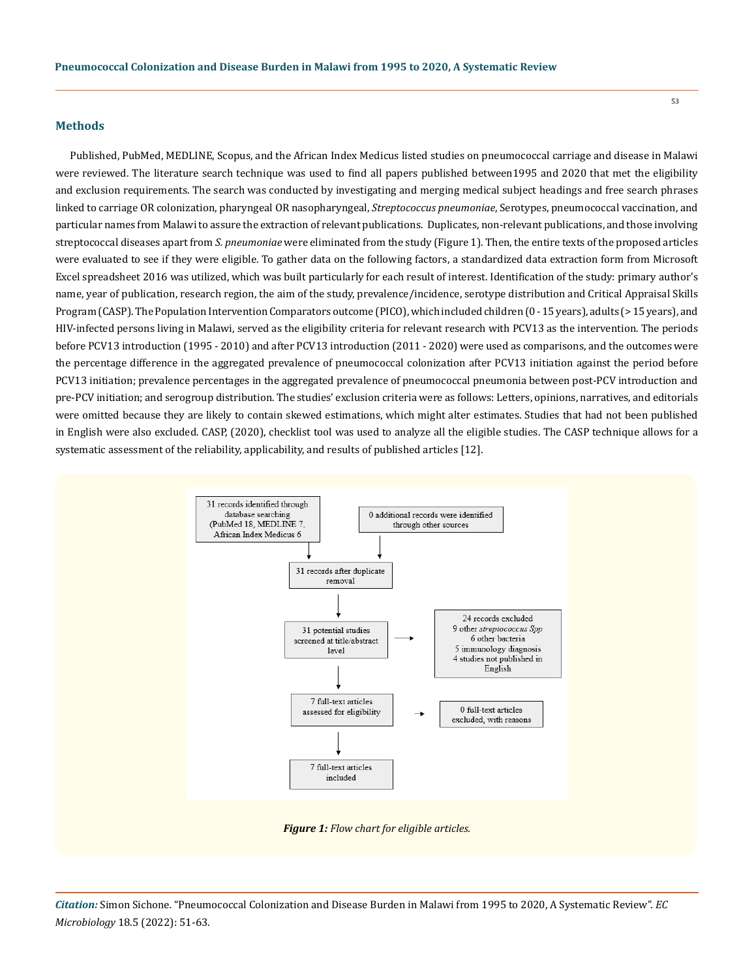#### **Methods**

Published, PubMed, MEDLINE, Scopus, and the African Index Medicus listed studies on pneumococcal carriage and disease in Malawi were reviewed. The literature search technique was used to find all papers published between1995 and 2020 that met the eligibility and exclusion requirements. The search was conducted by investigating and merging medical subject headings and free search phrases linked to carriage OR colonization, pharyngeal OR nasopharyngeal, *Streptococcus pneumoniae*, Serotypes, pneumococcal vaccination, and particular names from Malawi to assure the extraction of relevant publications. Duplicates, non-relevant publications, and those involving streptococcal diseases apart from *S. pneumoniae* were eliminated from the study (Figure 1). Then, the entire texts of the proposed articles were evaluated to see if they were eligible. To gather data on the following factors, a standardized data extraction form from Microsoft Excel spreadsheet 2016 was utilized, which was built particularly for each result of interest. Identification of the study: primary author's name, year of publication, research region, the aim of the study, prevalence/incidence, serotype distribution and Critical Appraisal Skills Program (CASP). The Population Intervention Comparators outcome (PICO), which included children (0 - 15 years), adults (> 15 years), and HIV-infected persons living in Malawi, served as the eligibility criteria for relevant research with PCV13 as the intervention. The periods before PCV13 introduction (1995 - 2010) and after PCV13 introduction (2011 - 2020) were used as comparisons, and the outcomes were the percentage difference in the aggregated prevalence of pneumococcal colonization after PCV13 initiation against the period before PCV13 initiation; prevalence percentages in the aggregated prevalence of pneumococcal pneumonia between post-PCV introduction and pre-PCV initiation; and serogroup distribution. The studies' exclusion criteria were as follows: Letters, opinions, narratives, and editorials were omitted because they are likely to contain skewed estimations, which might alter estimates. Studies that had not been published in English were also excluded. CASP, (2020), checklist tool was used to analyze all the eligible studies. The CASP technique allows for a systematic assessment of the reliability, applicability, and results of published articles [12].



*Citation:* Simon Sichone*.* "Pneumococcal Colonization and Disease Burden in Malawi from 1995 to 2020, A Systematic Review". *EC Microbiology* 18.5 (2022): 51-63.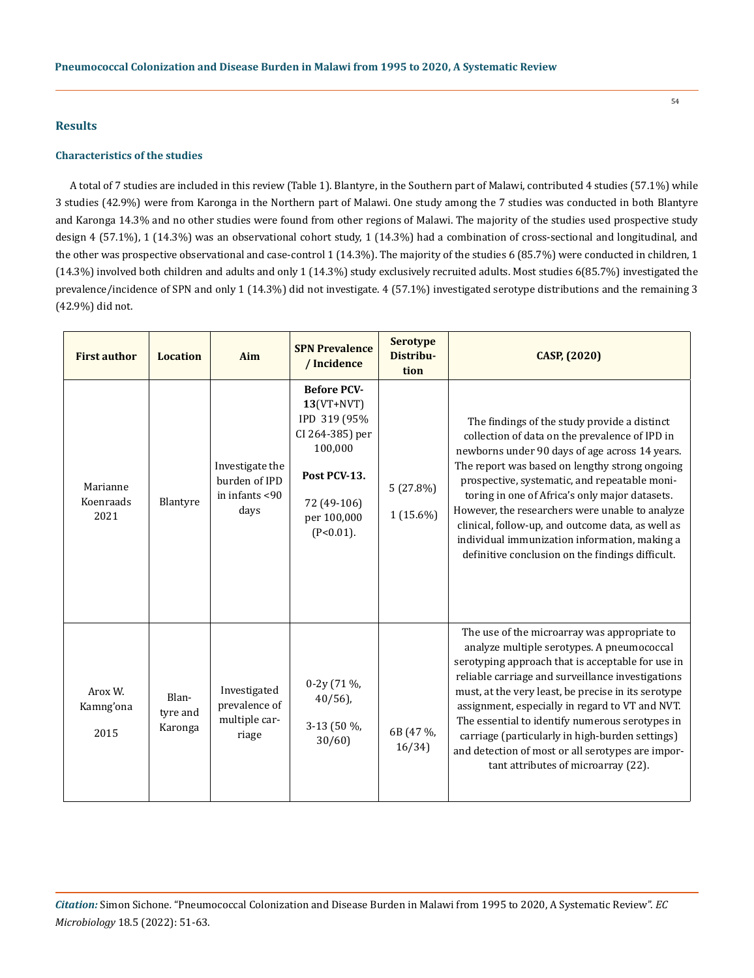## **Results**

## **Characteristics of the studies**

A total of 7 studies are included in this review (Table 1). Blantyre, in the Southern part of Malawi, contributed 4 studies (57.1%) while 3 studies (42.9%) were from Karonga in the Northern part of Malawi. One study among the 7 studies was conducted in both Blantyre and Karonga 14.3% and no other studies were found from other regions of Malawi. The majority of the studies used prospective study design 4 (57.1%), 1 (14.3%) was an observational cohort study, 1 (14.3%) had a combination of cross-sectional and longitudinal, and the other was prospective observational and case-control 1 (14.3%). The majority of the studies 6 (85.7%) were conducted in children, 1 (14.3%) involved both children and adults and only 1 (14.3%) study exclusively recruited adults. Most studies 6(85.7%) investigated the prevalence/incidence of SPN and only 1 (14.3%) did not investigate. 4 (57.1%) investigated serotype distributions and the remaining 3 (42.9%) did not.

| <b>First author</b>           | <b>Location</b>              | Aim                                                        | <b>SPN Prevalence</b><br>/ Incidence                                                                                                           | <b>Serotype</b><br>Distribu-<br>tion | CASP, (2020)                                                                                                                                                                                                                                                                                                                                                                                                                                                                                                       |
|-------------------------------|------------------------------|------------------------------------------------------------|------------------------------------------------------------------------------------------------------------------------------------------------|--------------------------------------|--------------------------------------------------------------------------------------------------------------------------------------------------------------------------------------------------------------------------------------------------------------------------------------------------------------------------------------------------------------------------------------------------------------------------------------------------------------------------------------------------------------------|
| Marianne<br>Koenraads<br>2021 | Blantyre                     | Investigate the<br>burden of IPD<br>in infants <90<br>days | <b>Before PCV-</b><br>$13(VT+NVT)$<br>IPD 319 (95%<br>CI 264-385) per<br>100,000<br>Post PCV-13.<br>72 (49-106)<br>per 100,000<br>$(P<0.01)$ . | 5(27.8%)<br>$1(15.6\%)$              | The findings of the study provide a distinct<br>collection of data on the prevalence of IPD in<br>newborns under 90 days of age across 14 years.<br>The report was based on lengthy strong ongoing<br>prospective, systematic, and repeatable moni-<br>toring in one of Africa's only major datasets.<br>However, the researchers were unable to analyze<br>clinical, follow-up, and outcome data, as well as<br>individual immunization information, making a<br>definitive conclusion on the findings difficult. |
| Arox W.<br>Kamng'ona<br>2015  | Blan-<br>tyre and<br>Karonga | Investigated<br>prevalence of<br>multiple car-<br>riage    | 0-2y (71 %,<br>$40/56$ ),<br>3-13 (50 %,<br>30/60                                                                                              | 6B (47 %,<br>16/34)                  | The use of the microarray was appropriate to<br>analyze multiple serotypes. A pneumococcal<br>serotyping approach that is acceptable for use in<br>reliable carriage and surveillance investigations<br>must, at the very least, be precise in its serotype<br>assignment, especially in regard to VT and NVT.<br>The essential to identify numerous serotypes in<br>carriage (particularly in high-burden settings)<br>and detection of most or all serotypes are impor-<br>tant attributes of microarray (22).   |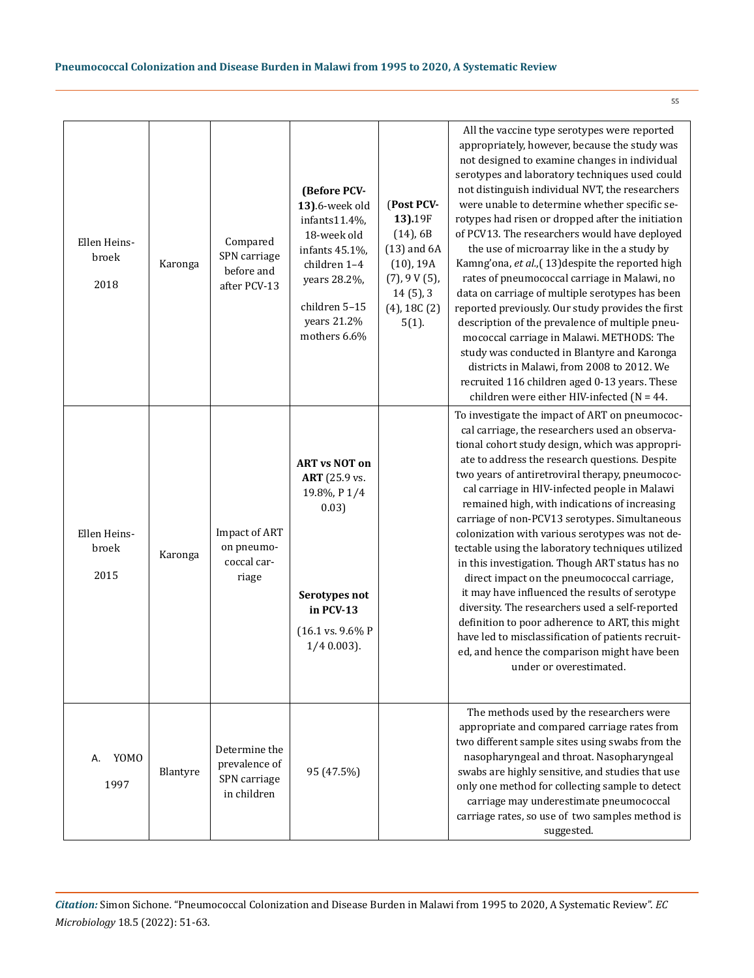| Ellen Heins-<br>broek<br>2018 | Karonga  | Compared<br>SPN carriage<br>before and<br>after PCV-13        | (Before PCV-<br>13).6-week old<br>infants11.4%,<br>18-week old<br>infants 45.1%,<br>children 1-4<br>years 28.2%,<br>children 5-15<br>years 21.2%<br>mothers 6.6% | (Post PCV-<br>13).19F<br>$(14)$ , 6B<br>$(13)$ and $6A$<br>$(10)$ , 19A<br>(7), 9 V(5),<br>$14(5)$ , 3<br>$(4)$ , 18C $(2)$<br>$5(1)$ . | All the vaccine type serotypes were reported<br>appropriately, however, because the study was<br>not designed to examine changes in individual<br>serotypes and laboratory techniques used could<br>not distinguish individual NVT, the researchers<br>were unable to determine whether specific se-<br>rotypes had risen or dropped after the initiation<br>of PCV13. The researchers would have deployed<br>the use of microarray like in the a study by<br>Kamng'ona, et al., (13) despite the reported high<br>rates of pneumococcal carriage in Malawi, no<br>data on carriage of multiple serotypes has been<br>reported previously. Our study provides the first<br>description of the prevalence of multiple pneu-<br>mococcal carriage in Malawi. METHODS: The<br>study was conducted in Blantyre and Karonga<br>districts in Malawi, from 2008 to 2012. We<br>recruited 116 children aged 0-13 years. These<br>children were either HIV-infected ( $N = 44$ . |
|-------------------------------|----------|---------------------------------------------------------------|------------------------------------------------------------------------------------------------------------------------------------------------------------------|-----------------------------------------------------------------------------------------------------------------------------------------|-------------------------------------------------------------------------------------------------------------------------------------------------------------------------------------------------------------------------------------------------------------------------------------------------------------------------------------------------------------------------------------------------------------------------------------------------------------------------------------------------------------------------------------------------------------------------------------------------------------------------------------------------------------------------------------------------------------------------------------------------------------------------------------------------------------------------------------------------------------------------------------------------------------------------------------------------------------------------|
| Ellen Heins-<br>broek<br>2015 | Karonga  | <b>Impact of ART</b><br>on pneumo-<br>coccal car-<br>riage    | <b>ART vs NOT on</b><br><b>ART</b> (25.9 vs.<br>19.8%, P1/4<br>0.03)<br>Serotypes not<br>in PCV-13<br>(16.1 vs. 9.6% P<br>$1/4$ 0.003).                          |                                                                                                                                         | To investigate the impact of ART on pneumococ-<br>cal carriage, the researchers used an observa-<br>tional cohort study design, which was appropri-<br>ate to address the research questions. Despite<br>two years of antiretroviral therapy, pneumococ-<br>cal carriage in HIV-infected people in Malawi<br>remained high, with indications of increasing<br>carriage of non-PCV13 serotypes. Simultaneous<br>colonization with various serotypes was not de-<br>tectable using the laboratory techniques utilized<br>in this investigation. Though ART status has no<br>direct impact on the pneumococcal carriage,<br>it may have influenced the results of serotype<br>diversity. The researchers used a self-reported<br>definition to poor adherence to ART, this might<br>have led to misclassification of patients recruit-<br>ed, and hence the comparison might have been<br>under or overestimated.                                                          |
| YOMO<br>А.<br>1997            | Blantyre | Determine the<br>prevalence of<br>SPN carriage<br>in children | 95 (47.5%)                                                                                                                                                       |                                                                                                                                         | The methods used by the researchers were<br>appropriate and compared carriage rates from<br>two different sample sites using swabs from the<br>nasopharyngeal and throat. Nasopharyngeal<br>swabs are highly sensitive, and studies that use<br>only one method for collecting sample to detect<br>carriage may underestimate pneumococcal<br>carriage rates, so use of two samples method is<br>suggested.                                                                                                                                                                                                                                                                                                                                                                                                                                                                                                                                                             |

*Citation:* Simon Sichone*.* "Pneumococcal Colonization and Disease Burden in Malawi from 1995 to 2020, A Systematic Review". *EC Microbiology* 18.5 (2022): 51-63.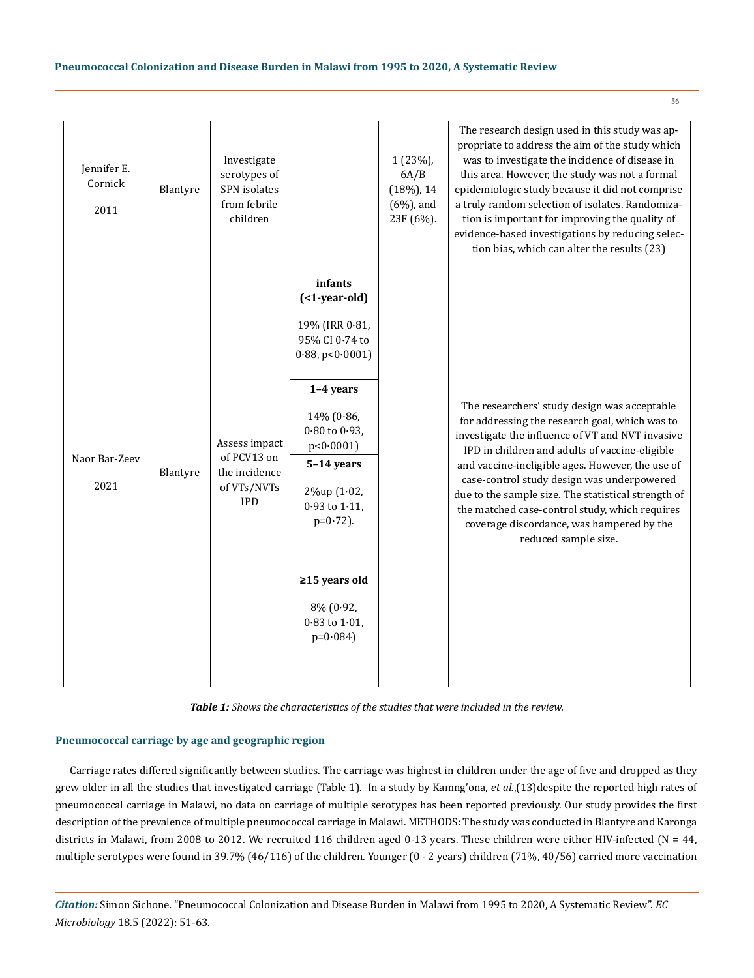| Jennifer E.<br>Cornick<br>2011 | Blantyre | Investigate<br>serotypes of<br>SPN isolates<br>from febrile<br>children    |                                                                                                                                                                                                                                                                                                      | 1 (23%),<br>6A/B<br>$(18%)$ , 14<br>$(6%)$ , and<br>23F (6%). | The research design used in this study was ap-<br>propriate to address the aim of the study which<br>was to investigate the incidence of disease in<br>this area. However, the study was not a formal<br>epidemiologic study because it did not comprise<br>a truly random selection of isolates. Randomiza-<br>tion is important for improving the quality of<br>evidence-based investigations by reducing selec-<br>tion bias, which can alter the results (23)                    |
|--------------------------------|----------|----------------------------------------------------------------------------|------------------------------------------------------------------------------------------------------------------------------------------------------------------------------------------------------------------------------------------------------------------------------------------------------|---------------------------------------------------------------|--------------------------------------------------------------------------------------------------------------------------------------------------------------------------------------------------------------------------------------------------------------------------------------------------------------------------------------------------------------------------------------------------------------------------------------------------------------------------------------|
| Naor Bar-Zeev<br>2021          | Blantyre | Assess impact<br>of PCV13 on<br>the incidence<br>of VTs/NVTs<br><b>IPD</b> | infants<br>$($ <1-year-old $)$<br>19% (IRR 0.81,<br>95% CI 0.74 to<br>$0.88$ , p< $0.0001$ )<br>1-4 years<br>14% (0.86,<br>$0.80$ to $0.93$ ,<br>p < 0.0001<br>5-14 years<br>2%up (1.02,<br>$0.93$ to $1.11$ ,<br>$p=0.72$ ).<br>$\geq$ 15 years old<br>8% (0.92,<br>$0.83$ to $1.01$ ,<br>$p=0.084$ |                                                               | The researchers' study design was acceptable<br>for addressing the research goal, which was to<br>investigate the influence of VT and NVT invasive<br>IPD in children and adults of vaccine-eligible<br>and vaccine-ineligible ages. However, the use of<br>case-control study design was underpowered<br>due to the sample size. The statistical strength of<br>the matched case-control study, which requires<br>coverage discordance, was hampered by the<br>reduced sample size. |

*Table 1: Shows the characteristics of the studies that were included in the review.*

## **Pneumococcal carriage by age and geographic region**

Carriage rates differed significantly between studies. The carriage was highest in children under the age of five and dropped as they grew older in all the studies that investigated carriage (Table 1). In a study by Kamng'ona, *et al.*,(13)despite the reported high rates of pneumococcal carriage in Malawi, no data on carriage of multiple serotypes has been reported previously. Our study provides the first description of the prevalence of multiple pneumococcal carriage in Malawi. METHODS: The study was conducted in Blantyre and Karonga districts in Malawi, from 2008 to 2012. We recruited 116 children aged 0-13 years. These children were either HIV-infected (N = 44, multiple serotypes were found in 39.7% (46/116) of the children. Younger (0 - 2 years) children (71%, 40/56) carried more vaccination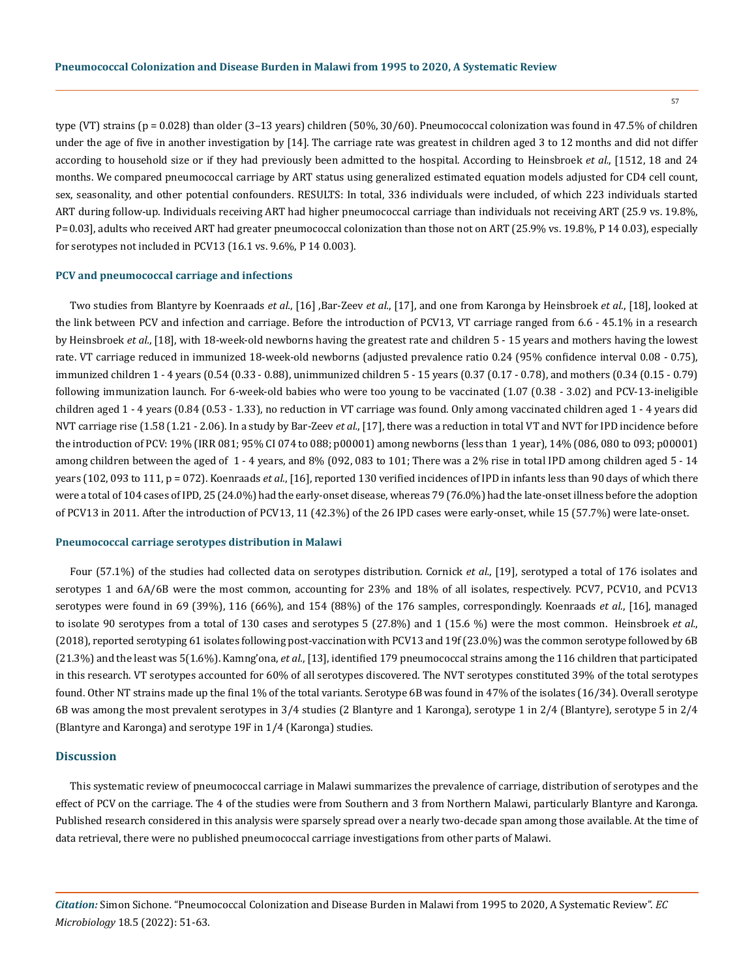57

type (VT) strains (p = 0.028) than older (3–13 years) children (50%, 30/60). Pneumococcal colonization was found in 47.5% of children under the age of five in another investigation by [14]. The carriage rate was greatest in children aged 3 to 12 months and did not differ according to household size or if they had previously been admitted to the hospital. According to Heinsbroek *et al.*, [1512, 18 and 24 months. We compared pneumococcal carriage by ART status using generalized estimated equation models adjusted for CD4 cell count, sex, seasonality, and other potential confounders. RESULTS: In total, 336 individuals were included, of which 223 individuals started ART during follow-up. Individuals receiving ART had higher pneumococcal carriage than individuals not receiving ART (25.9 vs. 19.8%, P = 0.03], adults who received ART had greater pneumococcal colonization than those not on ART (25.9% vs. 19.8%, P 14 0.03), especially for serotypes not included in PCV13 (16.1 vs. 9.6%, P 14 0.003).

#### **PCV and pneumococcal carriage and infections**

Two studies from Blantyre by Koenraads *et al.*, [16] ,Bar-Zeev *et al.*, [17], and one from Karonga by Heinsbroek *et al.*, [18], looked at the link between PCV and infection and carriage. Before the introduction of PCV13, VT carriage ranged from 6.6 - 45.1% in a research by Heinsbroek *et al.*, [18], with 18-week-old newborns having the greatest rate and children 5 - 15 years and mothers having the lowest rate. VT carriage reduced in immunized 18-week-old newborns (adjusted prevalence ratio 0.24 (95% confidence interval 0.08 - 0.75), immunized children 1 - 4 years (0.54 (0.33 - 0.88), unimmunized children 5 - 15 years (0.37 (0.17 - 0.78), and mothers (0.34 (0.15 - 0.79) following immunization launch. For 6-week-old babies who were too young to be vaccinated (1.07 (0.38 - 3.02) and PCV-13-ineligible children aged 1 - 4 years (0.84 (0.53 - 1.33), no reduction in VT carriage was found. Only among vaccinated children aged 1 - 4 years did NVT carriage rise (1.58 (1.21 - 2.06). In a study by Bar-Zeev *et al.*, [17], there was a reduction in total VT and NVT for IPD incidence before the introduction of PCV: 19% (IRR 081; 95% CI 074 to 088; p00001) among newborns (less than 1 year), 14% (086, 080 to 093; p00001) among children between the aged of 1 - 4 years, and 8% (092, 083 to 101; There was a 2% rise in total IPD among children aged 5 - 14 years (102, 093 to 111, p = 072). Koenraads *et al.*, [16], reported 130 verified incidences of IPD in infants less than 90 days of which there were a total of 104 cases of IPD, 25 (24.0%) had the early-onset disease, whereas 79 (76.0%) had the late-onset illness before the adoption of PCV13 in 2011. After the introduction of PCV13, 11 (42.3%) of the 26 IPD cases were early-onset, while 15 (57.7%) were late-onset.

#### **Pneumococcal carriage serotypes distribution in Malawi**

Four (57.1%) of the studies had collected data on serotypes distribution. Cornick *et al.*, [19], serotyped a total of 176 isolates and serotypes 1 and 6A/6B were the most common, accounting for 23% and 18% of all isolates, respectively. PCV7, PCV10, and PCV13 serotypes were found in 69 (39%), 116 (66%), and 154 (88%) of the 176 samples, correspondingly. Koenraads *et al.*, [16], managed to isolate 90 serotypes from a total of 130 cases and serotypes 5 (27.8%) and 1 (15.6 %) were the most common. Heinsbroek *et al.*, (2018), reported serotyping 61 isolates following post-vaccination with PCV13 and 19f (23.0%) was the common serotype followed by 6B (21.3%) and the least was 5(1.6%). Kamng'ona, *et al.*, [13], identified 179 pneumococcal strains among the 116 children that participated in this research. VT serotypes accounted for 60% of all serotypes discovered. The NVT serotypes constituted 39% of the total serotypes found. Other NT strains made up the final 1% of the total variants. Serotype 6B was found in 47% of the isolates (16/34). Overall serotype 6B was among the most prevalent serotypes in 3/4 studies (2 Blantyre and 1 Karonga), serotype 1 in 2/4 (Blantyre), serotype 5 in 2/4 (Blantyre and Karonga) and serotype 19F in 1/4 (Karonga) studies.

# **Discussion**

This systematic review of pneumococcal carriage in Malawi summarizes the prevalence of carriage, distribution of serotypes and the effect of PCV on the carriage. The 4 of the studies were from Southern and 3 from Northern Malawi, particularly Blantyre and Karonga. Published research considered in this analysis were sparsely spread over a nearly two-decade span among those available. At the time of data retrieval, there were no published pneumococcal carriage investigations from other parts of Malawi.

*Citation:* Simon Sichone*.* "Pneumococcal Colonization and Disease Burden in Malawi from 1995 to 2020, A Systematic Review". *EC Microbiology* 18.5 (2022): 51-63.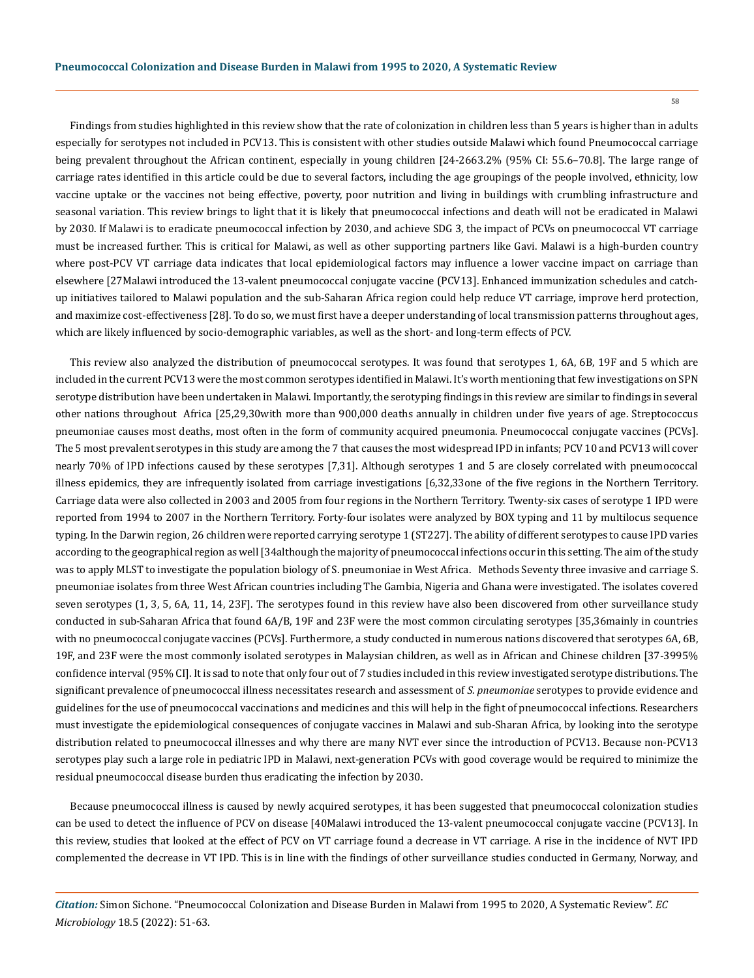Findings from studies highlighted in this review show that the rate of colonization in children less than 5 years is higher than in adults especially for serotypes not included in PCV13. This is consistent with other studies outside Malawi which found Pneumococcal carriage being prevalent throughout the African continent, especially in young children [24-2663.2% (95% CI: 55.6–70.8]. The large range of carriage rates identified in this article could be due to several factors, including the age groupings of the people involved, ethnicity, low vaccine uptake or the vaccines not being effective, poverty, poor nutrition and living in buildings with crumbling infrastructure and seasonal variation. This review brings to light that it is likely that pneumococcal infections and death will not be eradicated in Malawi by 2030. If Malawi is to eradicate pneumococcal infection by 2030, and achieve SDG 3, the impact of PCVs on pneumococcal VT carriage must be increased further. This is critical for Malawi, as well as other supporting partners like Gavi. Malawi is a high-burden country where post-PCV VT carriage data indicates that local epidemiological factors may influence a lower vaccine impact on carriage than elsewhere [27Malawi introduced the 13-valent pneumococcal conjugate vaccine (PCV13]. Enhanced immunization schedules and catchup initiatives tailored to Malawi population and the sub-Saharan Africa region could help reduce VT carriage, improve herd protection, and maximize cost-effectiveness [28]. To do so, we must first have a deeper understanding of local transmission patterns throughout ages, which are likely influenced by socio-demographic variables, as well as the short- and long-term effects of PCV.

This review also analyzed the distribution of pneumococcal serotypes. It was found that serotypes 1, 6A, 6B, 19F and 5 which are included in the current PCV13 were the most common serotypes identified in Malawi. It's worth mentioning that few investigations on SPN serotype distribution have been undertaken in Malawi. Importantly, the serotyping findings in this review are similar to findings in several other nations throughout Africa [25,29,30with more than 900,000 deaths annually in children under five years of age. Streptococcus pneumoniae causes most deaths, most often in the form of community acquired pneumonia. Pneumococcal conjugate vaccines (PCVs]. The 5 most prevalent serotypes in this study are among the 7 that causes the most widespread IPD in infants; PCV 10 and PCV13 will cover nearly 70% of IPD infections caused by these serotypes [7,31]. Although serotypes 1 and 5 are closely correlated with pneumococcal illness epidemics, they are infrequently isolated from carriage investigations [6,32,33one of the five regions in the Northern Territory. Carriage data were also collected in 2003 and 2005 from four regions in the Northern Territory. Twenty-six cases of serotype 1 IPD were reported from 1994 to 2007 in the Northern Territory. Forty-four isolates were analyzed by BOX typing and 11 by multilocus sequence typing. In the Darwin region, 26 children were reported carrying serotype 1 (ST227]. The ability of different serotypes to cause IPD varies according to the geographical region as well [34although the majority of pneumococcal infections occur in this setting. The aim of the study was to apply MLST to investigate the population biology of S. pneumoniae in West Africa. Methods Seventy three invasive and carriage S. pneumoniae isolates from three West African countries including The Gambia, Nigeria and Ghana were investigated. The isolates covered seven serotypes (1, 3, 5, 6A, 11, 14, 23F]. The serotypes found in this review have also been discovered from other surveillance study conducted in sub-Saharan Africa that found 6A/B, 19F and 23F were the most common circulating serotypes [35,36mainly in countries with no pneumococcal conjugate vaccines (PCVs]. Furthermore, a study conducted in numerous nations discovered that serotypes 6A, 6B, 19F, and 23F were the most commonly isolated serotypes in Malaysian children, as well as in African and Chinese children [37-3995% confidence interval (95% CI]. It is sad to note that only four out of 7 studies included in this review investigated serotype distributions. The significant prevalence of pneumococcal illness necessitates research and assessment of *S. pneumoniae* serotypes to provide evidence and guidelines for the use of pneumococcal vaccinations and medicines and this will help in the fight of pneumococcal infections. Researchers must investigate the epidemiological consequences of conjugate vaccines in Malawi and sub-Sharan Africa, by looking into the serotype distribution related to pneumococcal illnesses and why there are many NVT ever since the introduction of PCV13. Because non-PCV13 serotypes play such a large role in pediatric IPD in Malawi, next-generation PCVs with good coverage would be required to minimize the residual pneumococcal disease burden thus eradicating the infection by 2030.

Because pneumococcal illness is caused by newly acquired serotypes, it has been suggested that pneumococcal colonization studies can be used to detect the influence of PCV on disease [40Malawi introduced the 13-valent pneumococcal conjugate vaccine (PCV13]. In this review, studies that looked at the effect of PCV on VT carriage found a decrease in VT carriage. A rise in the incidence of NVT IPD complemented the decrease in VT IPD. This is in line with the findings of other surveillance studies conducted in Germany, Norway, and

*Citation:* Simon Sichone*.* "Pneumococcal Colonization and Disease Burden in Malawi from 1995 to 2020, A Systematic Review". *EC Microbiology* 18.5 (2022): 51-63.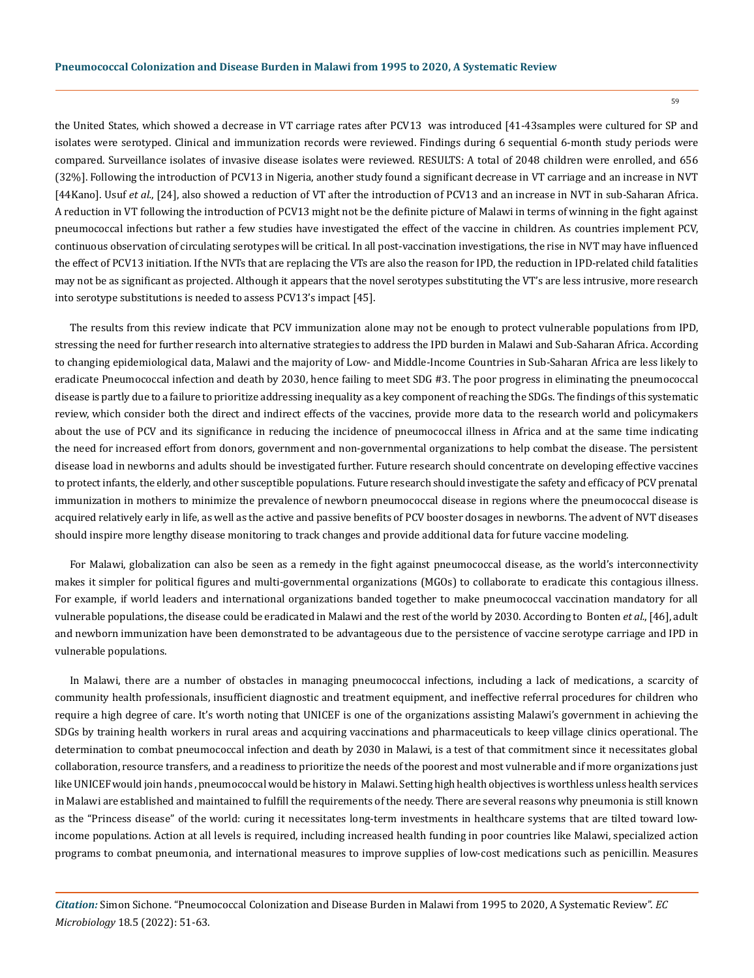the United States, which showed a decrease in VT carriage rates after PCV13 was introduced [41-43samples were cultured for SP and isolates were serotyped. Clinical and immunization records were reviewed. Findings during 6 sequential 6-month study periods were compared. Surveillance isolates of invasive disease isolates were reviewed. RESULTS: A total of 2048 children were enrolled, and 656 (32%]. Following the introduction of PCV13 in Nigeria, another study found a significant decrease in VT carriage and an increase in NVT [44Kano]. Usuf *et al.*, [24], also showed a reduction of VT after the introduction of PCV13 and an increase in NVT in sub-Saharan Africa. A reduction in VT following the introduction of PCV13 might not be the definite picture of Malawi in terms of winning in the fight against pneumococcal infections but rather a few studies have investigated the effect of the vaccine in children. As countries implement PCV, continuous observation of circulating serotypes will be critical. In all post-vaccination investigations, the rise in NVT may have influenced the effect of PCV13 initiation. If the NVTs that are replacing the VTs are also the reason for IPD, the reduction in IPD-related child fatalities may not be as significant as projected. Although it appears that the novel serotypes substituting the VT's are less intrusive, more research into serotype substitutions is needed to assess PCV13's impact [45].

The results from this review indicate that PCV immunization alone may not be enough to protect vulnerable populations from IPD, stressing the need for further research into alternative strategies to address the IPD burden in Malawi and Sub-Saharan Africa. According to changing epidemiological data, Malawi and the majority of Low- and Middle-Income Countries in Sub-Saharan Africa are less likely to eradicate Pneumococcal infection and death by 2030, hence failing to meet SDG #3. The poor progress in eliminating the pneumococcal disease is partly due to a failure to prioritize addressing inequality as a key component of reaching the SDGs. The findings of this systematic review, which consider both the direct and indirect effects of the vaccines, provide more data to the research world and policymakers about the use of PCV and its significance in reducing the incidence of pneumococcal illness in Africa and at the same time indicating the need for increased effort from donors, government and non-governmental organizations to help combat the disease. The persistent disease load in newborns and adults should be investigated further. Future research should concentrate on developing effective vaccines to protect infants, the elderly, and other susceptible populations. Future research should investigate the safety and efficacy of PCV prenatal immunization in mothers to minimize the prevalence of newborn pneumococcal disease in regions where the pneumococcal disease is acquired relatively early in life, as well as the active and passive benefits of PCV booster dosages in newborns. The advent of NVT diseases should inspire more lengthy disease monitoring to track changes and provide additional data for future vaccine modeling.

For Malawi, globalization can also be seen as a remedy in the fight against pneumococcal disease, as the world's interconnectivity makes it simpler for political figures and multi-governmental organizations (MGOs) to collaborate to eradicate this contagious illness. For example, if world leaders and international organizations banded together to make pneumococcal vaccination mandatory for all vulnerable populations, the disease could be eradicated in Malawi and the rest of the world by 2030. According to Bonten *et al.*, [46], adult and newborn immunization have been demonstrated to be advantageous due to the persistence of vaccine serotype carriage and IPD in vulnerable populations.

In Malawi, there are a number of obstacles in managing pneumococcal infections, including a lack of medications, a scarcity of community health professionals, insufficient diagnostic and treatment equipment, and ineffective referral procedures for children who require a high degree of care. It's worth noting that UNICEF is one of the organizations assisting Malawi's government in achieving the SDGs by training health workers in rural areas and acquiring vaccinations and pharmaceuticals to keep village clinics operational. The determination to combat pneumococcal infection and death by 2030 in Malawi, is a test of that commitment since it necessitates global collaboration, resource transfers, and a readiness to prioritize the needs of the poorest and most vulnerable and if more organizations just like UNICEF would join hands , pneumococcal would be history in Malawi. Setting high health objectives is worthless unless health services in Malawi are established and maintained to fulfill the requirements of the needy. There are several reasons why pneumonia is still known as the "Princess disease" of the world: curing it necessitates long-term investments in healthcare systems that are tilted toward lowincome populations. Action at all levels is required, including increased health funding in poor countries like Malawi, specialized action programs to combat pneumonia, and international measures to improve supplies of low-cost medications such as penicillin. Measures

*Citation:* Simon Sichone*.* "Pneumococcal Colonization and Disease Burden in Malawi from 1995 to 2020, A Systematic Review". *EC Microbiology* 18.5 (2022): 51-63.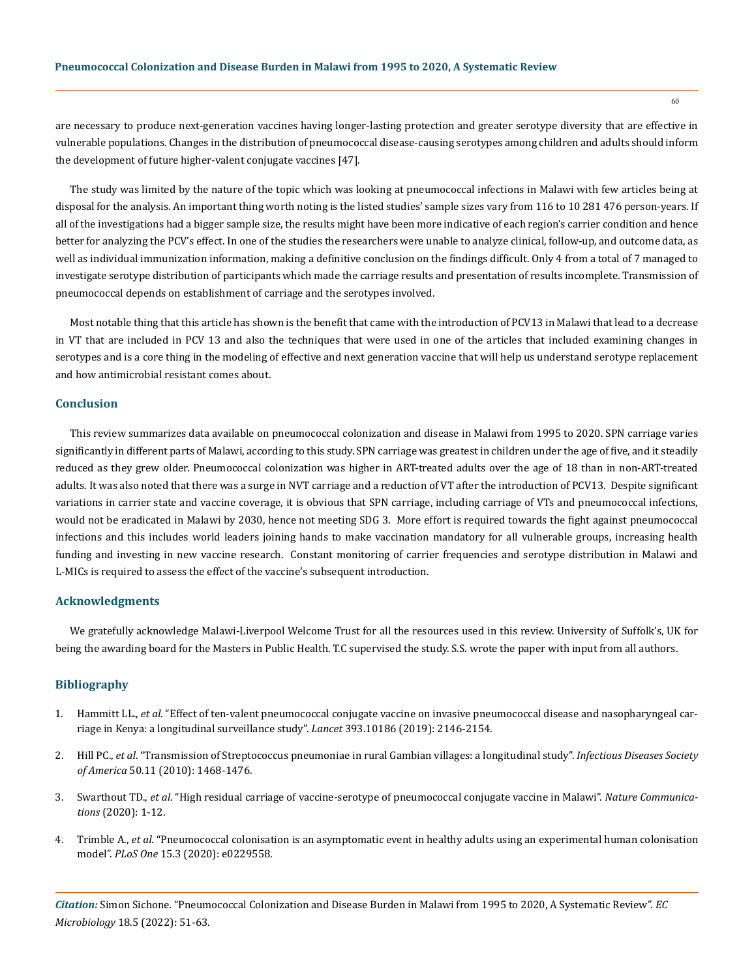are necessary to produce next-generation vaccines having longer-lasting protection and greater serotype diversity that are effective in vulnerable populations. Changes in the distribution of pneumococcal disease-causing serotypes among children and adults should inform the development of future higher-valent conjugate vaccines [47].

The study was limited by the nature of the topic which was looking at pneumococcal infections in Malawi with few articles being at disposal for the analysis. An important thing worth noting is the listed studies' sample sizes vary from 116 to 10 281 476 person-years. If all of the investigations had a bigger sample size, the results might have been more indicative of each region's carrier condition and hence better for analyzing the PCV's effect. In one of the studies the researchers were unable to analyze clinical, follow-up, and outcome data, as well as individual immunization information, making a definitive conclusion on the findings difficult. Only 4 from a total of 7 managed to investigate serotype distribution of participants which made the carriage results and presentation of results incomplete. Transmission of pneumococcal depends on establishment of carriage and the serotypes involved.

Most notable thing that this article has shown is the benefit that came with the introduction of PCV13 in Malawi that lead to a decrease in VT that are included in PCV 13 and also the techniques that were used in one of the articles that included examining changes in serotypes and is a core thing in the modeling of effective and next generation vaccine that will help us understand serotype replacement and how antimicrobial resistant comes about.

#### **Conclusion**

This review summarizes data available on pneumococcal colonization and disease in Malawi from 1995 to 2020. SPN carriage varies significantly in different parts of Malawi, according to this study. SPN carriage was greatest in children under the age of five, and it steadily reduced as they grew older. Pneumococcal colonization was higher in ART-treated adults over the age of 18 than in non-ART-treated adults. It was also noted that there was a surge in NVT carriage and a reduction of VT after the introduction of PCV13. Despite significant variations in carrier state and vaccine coverage, it is obvious that SPN carriage, including carriage of VTs and pneumococcal infections, would not be eradicated in Malawi by 2030, hence not meeting SDG 3. More effort is required towards the fight against pneumococcal infections and this includes world leaders joining hands to make vaccination mandatory for all vulnerable groups, increasing health funding and investing in new vaccine research. Constant monitoring of carrier frequencies and serotype distribution in Malawi and L-MICs is required to assess the effect of the vaccine's subsequent introduction.

# **Acknowledgments**

We gratefully acknowledge Malawi-Liverpool Welcome Trust for all the resources used in this review. University of Suffolk's, UK for being the awarding board for the Masters in Public Health. T.C supervised the study. S.S. wrote the paper with input from all authors.

#### **Bibliography**

- 1. Hammitt LL., *et al*[. "Effect of ten-valent pneumococcal conjugate vaccine on invasive pneumococcal disease and nasopharyngeal car](https://www.thelancet.com/journals/lancet/article/PIIS0140-6736(18)33005-8/fulltext)[riage in Kenya: a longitudinal surveillance study".](https://www.thelancet.com/journals/lancet/article/PIIS0140-6736(18)33005-8/fulltext) *Lancet* 393.10186 (2019): 2146-2154.
- 2. Hill PC., *et al*[. "Transmission of Streptococcus pneumoniae in rural Gambian villages: a longitudinal study".](https://pubmed.ncbi.nlm.nih.gov/20420503/) *Infectious Diseases Society of America* [50.11 \(2010\): 1468-1476.](https://pubmed.ncbi.nlm.nih.gov/20420503/)
- 3. Swarthout TD., *et al*[. "High residual carriage of vaccine-serotype of pneumococcal conjugate vaccine in Malawi".](https://www.nature.com/articles/s41467-020-15786-9) *Nature Communications* [\(2020\): 1-12.](https://www.nature.com/articles/s41467-020-15786-9)
- 4. Trimble A., *et al*[. "Pneumococcal colonisation is an asymptomatic event in healthy adults using an experimental human colonisation](https://pubmed.ncbi.nlm.nih.gov/32155176/)  model". *PLoS One* [15.3 \(2020\): e0229558.](https://pubmed.ncbi.nlm.nih.gov/32155176/)

*Citation:* Simon Sichone*.* "Pneumococcal Colonization and Disease Burden in Malawi from 1995 to 2020, A Systematic Review". *EC Microbiology* 18.5 (2022): 51-63.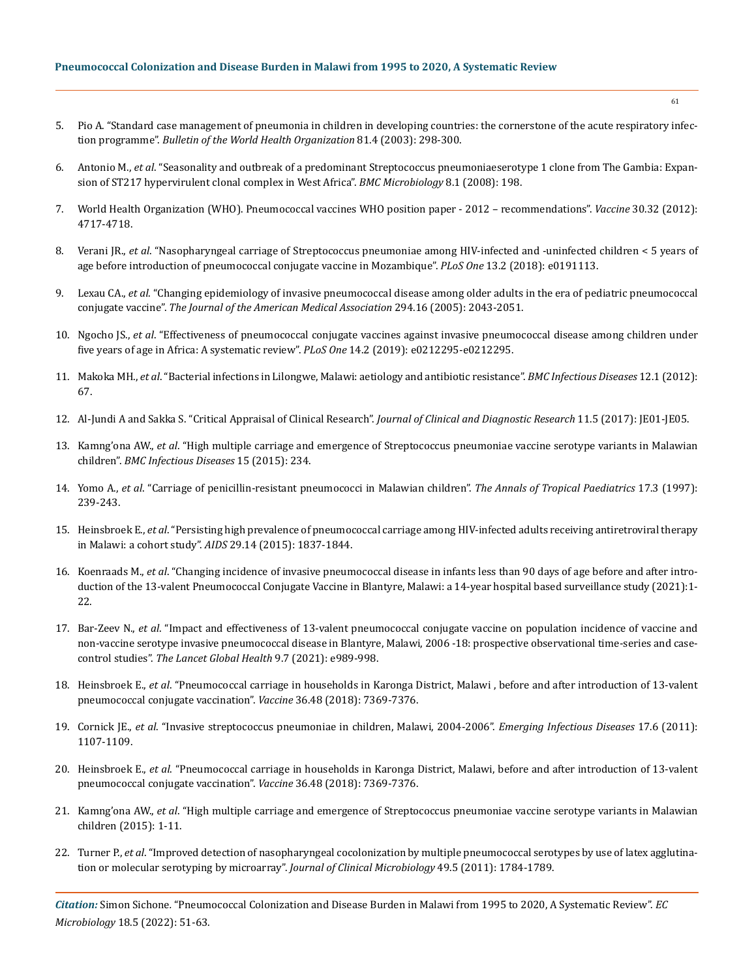- 5. [Pio A. "Standard case management of pneumonia in children in developing countries: the cornerstone of the acute respiratory infec](https://pubmed.ncbi.nlm.nih.gov/12764497/)tion programme". *[Bulletin of the World Health Organization](https://pubmed.ncbi.nlm.nih.gov/12764497/)* 81.4 (2003): 298-300.
- 6. Antonio M., *et al*[. "Seasonality and outbreak of a predominant Streptococcus pneumoniaeserotype 1 clone from The Gambia: Expan](https://pubmed.ncbi.nlm.nih.gov/19014613/)[sion of ST217 hypervirulent clonal complex in West Africa".](https://pubmed.ncbi.nlm.nih.gov/19014613/) *BMC Microbiology* 8.1 (2008): 198.
- 7. [World Health Organization \(WHO\). Pneumococcal vaccines WHO position paper 2012 recommendations".](https://pubmed.ncbi.nlm.nih.gov/22621828/á) *Vaccine* 30.32 (2012): [4717-4718.](https://pubmed.ncbi.nlm.nih.gov/22621828/á)
- 8. Verani JR., *et al*[. "Nasopharyngeal carriage of Streptococcus pneumoniae among HIV-infected and -uninfected children < 5 years of](https://academic.oup.com/jid/article/224/Supplement_3/S248/6361071)  [age before introduction of pneumococcal conjugate vaccine in Mozambique".](https://academic.oup.com/jid/article/224/Supplement_3/S248/6361071) *PLoS One* 13.2 (2018): e0191113.
- 9. Lexau CA., *et al*[. "Changing epidemiology of invasive pneumococcal disease among older adults in the era of pediatric pneumococcal](https://pubmed.ncbi.nlm.nih.gov/16249418/)  conjugate vaccine". *[The Journal of the American Medical Association](https://pubmed.ncbi.nlm.nih.gov/16249418/)* 294.16 (2005): 2043-2051.
- 10. Ngocho JS., *et al*[. "Effectiveness of pneumococcal conjugate vaccines against invasive pneumococcal disease among children under](https://pubmed.ncbi.nlm.nih.gov/30779801/)  [five years of age in Africa: A systematic review".](https://pubmed.ncbi.nlm.nih.gov/30779801/) *PLoS One* 14.2 (2019): e0212295-e0212295.
- 11. Makoka MH., *et al*[. "Bacterial infections in Lilongwe, Malawi: aetiology and antibiotic resistance".](https://bmcinfectdis.biomedcentral.com/articles/10.1186/1471-2334-12-67) *BMC Infectious Diseases* 12.1 (2012): [67.](https://bmcinfectdis.biomedcentral.com/articles/10.1186/1471-2334-12-67)
- 12. [Al-Jundi A and Sakka S. "Critical Appraisal of Clinical Research".](https://www.ncbi.nlm.nih.gov/pmc/articles/PMC5483707/) *Journal of Clinical and Diagnostic Research* 11.5 (2017): JE01-JE05.
- 13. Kamng'ona AW., *et al*[. "High multiple carriage and emergence of Streptococcus pneumoniae vaccine serotype variants in Malawian](https://www.researchgate.net/publication/278728931_High_multiple_carriage_and_emergence_of_Streptococcus_pneumoniae_vaccine_serotype_variants_in_Malawian_children)  children". *[BMC Infectious Diseases](https://www.researchgate.net/publication/278728931_High_multiple_carriage_and_emergence_of_Streptococcus_pneumoniae_vaccine_serotype_variants_in_Malawian_children)* 15 (2015): 234.
- 14. Yomo A., *et al*[. "Carriage of penicillin-resistant pneumococci in Malawian children".](https://pubmed.ncbi.nlm.nih.gov/9425380/) *The Annals of Tropical Paediatrics* 17.3 (1997): [239-243.](https://pubmed.ncbi.nlm.nih.gov/9425380/)
- 15. Heinsbroek E., *et al*[. "Persisting high prevalence of pneumococcal carriage among HIV-infected adults receiving antiretroviral therapy](https://www.ncbi.nlm.nih.gov/pmc/articles/PMC4568891/)  [in Malawi: a cohort study".](https://www.ncbi.nlm.nih.gov/pmc/articles/PMC4568891/) *AIDS* 29.14 (2015): 1837-1844.
- 16. Koenraads M., *et al*[. "Changing incidence of invasive pneumococcal disease in infants less than 90 days of age before and after intro](https://www.medrxiv.org/content/10.1101/2021.08.18.21262215v1)[duction of the 13-valent Pneumococcal Conjugate Vaccine in Blantyre, Malawi: a 14-year hospital based surveillance study \(2021\):1-](https://www.medrxiv.org/content/10.1101/2021.08.18.21262215v1) [22.](https://www.medrxiv.org/content/10.1101/2021.08.18.21262215v1)
- 17. Bar-Zeev N., *et al*[. "Impact and effectiveness of 13-valent pneumococcal conjugate vaccine on population incidence of vaccine and](https://papers.ssrn.com/sol3/papers.cfm?abstract_id=3745169)  [non-vaccine serotype invasive pneumococcal disease in Blantyre, Malawi, 2006 -18: prospective observational time-series and case](https://papers.ssrn.com/sol3/papers.cfm?abstract_id=3745169)control studies". *[The Lancet Global Health](https://papers.ssrn.com/sol3/papers.cfm?abstract_id=3745169)* 9.7 (2021): e989-998.
- 18. Heinsbroek E., *et al*[. "Pneumococcal carriage in households in Karonga District, Malawi , before and after introduction of 13-valent](https://pubmed.ncbi.nlm.nih.gov/30352744/)  [pneumococcal conjugate vaccination".](https://pubmed.ncbi.nlm.nih.gov/30352744/) *Vaccine* 36.48 (2018): 7369-7376.
- 19. Cornick JE., *et al*[. "Invasive streptococcus pneumoniae in children, Malawi, 2004-2006".](https://pubmed.ncbi.nlm.nih.gov/21749782/) *Emerging Infectious Diseases* 17.6 (2011): [1107-1109.](https://pubmed.ncbi.nlm.nih.gov/21749782/)
- 20. Heinsbroek E., *et al*[. "Pneumococcal carriage in households in Karonga District, Malawi, before and after introduction of 13-valent](https://pubmed.ncbi.nlm.nih.gov/30352744/)  [pneumococcal conjugate vaccination".](https://pubmed.ncbi.nlm.nih.gov/30352744/) *Vaccine* 36.48 (2018): 7369-7376.
- 21. Kamng'ona AW., *et al*[. "High multiple carriage and emergence of Streptococcus pneumoniae vaccine serotype variants in Malawian](https://www.researchgate.net/publication/278728931_High_multiple_carriage_and_emergence_of_Streptococcus_pneumoniae_vaccine_serotype_variants_in_Malawian_children)  [children \(2015\): 1-11.](https://www.researchgate.net/publication/278728931_High_multiple_carriage_and_emergence_of_Streptococcus_pneumoniae_vaccine_serotype_variants_in_Malawian_children)
- 22. Turner P., *et al*[. "Improved detection of nasopharyngeal cocolonization by multiple pneumococcal serotypes by use of latex agglutina](https://pubmed.ncbi.nlm.nih.gov/21411589/)[tion or molecular serotyping by microarray".](https://pubmed.ncbi.nlm.nih.gov/21411589/) *Journal of Clinical Microbiology* 49.5 (2011): 1784-1789.

*Citation:* Simon Sichone*.* "Pneumococcal Colonization and Disease Burden in Malawi from 1995 to 2020, A Systematic Review". *EC Microbiology* 18.5 (2022): 51-63.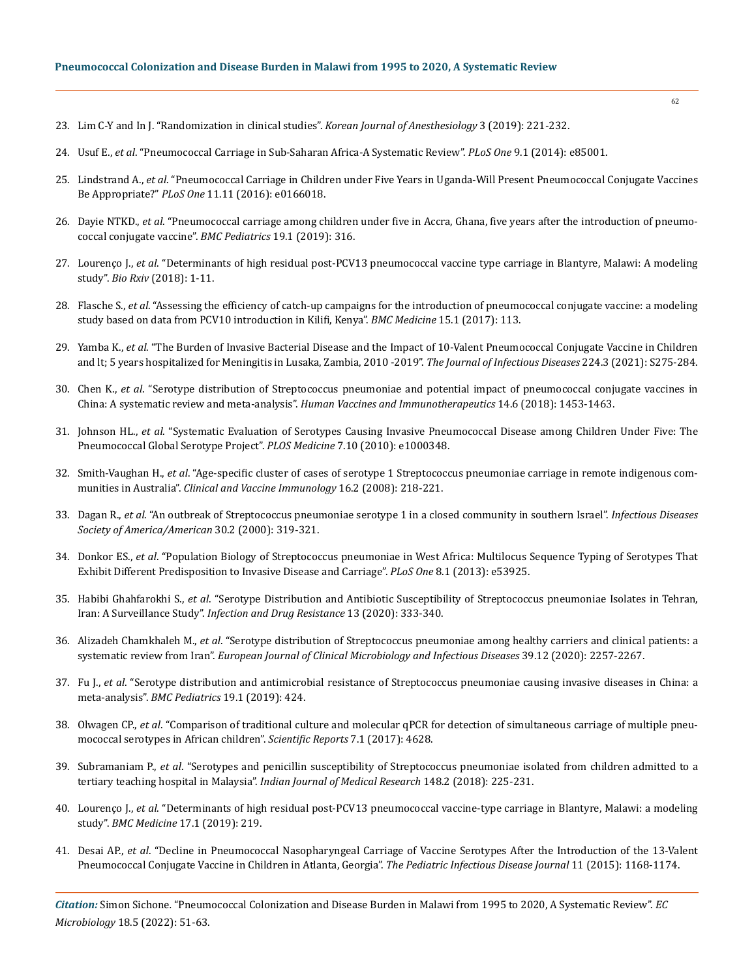- 23. [Lim C-Y and In J. "Randomization in clinical studies".](https://www.ncbi.nlm.nih.gov/pmc/articles/PMC6547231/) *Korean Journal of Anesthesiology* 3 (2019): 221-232.
- 24. Usuf E., *et al*[. "Pneumococcal Carriage in Sub-Saharan Africa-A Systematic Review".](https://www.ncbi.nlm.nih.gov/pmc/articles/PMC3896352/) *PLoS One* 9.1 (2014): e85001.
- 25. Lindstrand A., *et al*[. "Pneumococcal Carriage in Children under Five Years in Uganda-Will Present Pneumococcal Conjugate Vaccines](https://pubmed.ncbi.nlm.nih.gov/27829063/)  Be Appropriate?" *PLoS One* [11.11 \(2016\): e0166018.](https://pubmed.ncbi.nlm.nih.gov/27829063/)
- 26. Dayie NTKD., *et al*[. "Pneumococcal carriage among children under five in Accra, Ghana, five years after the introduction of pneumo](https://bmcpediatr.biomedcentral.com/articles/10.1186/s12887-019-1690-5)[coccal conjugate vaccine".](https://bmcpediatr.biomedcentral.com/articles/10.1186/s12887-019-1690-5) *BMC Pediatrics* 19.1 (2019): 316.
- 27. Lourenço J., *et al*[. "Determinants of high residual post-PCV13 pneumococcal vaccine type carriage in Blantyre, Malawi: A modeling](https://bmcmedicine.biomedcentral.com/articles/10.1186/s12916-019-1450-2)  study". *Bio Rxiv* [\(2018\): 1-11.](https://bmcmedicine.biomedcentral.com/articles/10.1186/s12916-019-1450-2)
- 28. Flasche S., *et al*[. "Assessing the efficiency of catch-up campaigns for the introduction of pneumococcal conjugate vaccine: a modeling](https://pubmed.ncbi.nlm.nih.gov/28592303/)  [study based on data from PCV10 introduction in Kilifi, Kenya".](https://pubmed.ncbi.nlm.nih.gov/28592303/) *BMC Medicine* 15.1 (2017): 113.
- 29. Yamba K., *et al*[. "The Burden of Invasive Bacterial Disease and the Impact of 10-Valent Pneumococcal Conjugate Vaccine in Children](https://espid2015.kenes.com/Documents/ESPID%202015%20Abstracts.pdf)  [and lt; 5 years hospitalized for Meningitis in Lusaka, Zambia, 2010 -2019".](https://espid2015.kenes.com/Documents/ESPID%202015%20Abstracts.pdf) *The Journal of Infectious Diseases* 224.3 (2021): S275-284.
- 30. Chen K., *et al*[. "Serotype distribution of Streptococcus pneumoniae and potential impact of pneumococcal conjugate vaccines in](https://www.ncbi.nlm.nih.gov/pmc/articles/PMC6037451/)  China: A systematic review and meta-analysis". *[Human Vaccines and Immunotherapeutics](https://www.ncbi.nlm.nih.gov/pmc/articles/PMC6037451/)* 14.6 (2018): 1453-1463.
- 31. Johnson HL., *et al*[. "Systematic Evaluation of Serotypes Causing Invasive Pneumococcal Disease among Children Under Five: The](https://journals.plos.org/plosmedicine/article?id=10.1371/journal.pmed.1000348)  [Pneumococcal Global Serotype Project".](https://journals.plos.org/plosmedicine/article?id=10.1371/journal.pmed.1000348) *PLOS Medicine* 7.10 (2010): e1000348.
- 32. Smith-Vaughan H., *et al*[. "Age-specific cluster of cases of serotype 1 Streptococcus pneumoniae carriage in remote indigenous com](https://journals.asm.org/doi/10.1128/CVI.00283-08)munities in Australia". *[Clinical and Vaccine Immunology](https://journals.asm.org/doi/10.1128/CVI.00283-08)* 16.2 (2008): 218-221.
- 33. Dagan R., *et al*[. "An outbreak of Streptococcus pneumoniae serotype 1 in a closed community in southern Israel".](https://pubmed.ncbi.nlm.nih.gov/10671335/) *Infectious Diseases [Society of America/American](https://pubmed.ncbi.nlm.nih.gov/10671335/)* 30.2 (2000): 319-321.
- 34. Donkor ES., *et al*[. "Population Biology of Streptococcus pneumoniae in West Africa: Multilocus Sequence Typing of Serotypes That](https://pubmed.ncbi.nlm.nih.gov/23342041/)  [Exhibit Different Predisposition to Invasive Disease and Carriage".](https://pubmed.ncbi.nlm.nih.gov/23342041/) *PLoS One* 8.1 (2013): e53925.
- 35. Habibi Ghahfarokhi S., *et al*[. "Serotype Distribution and Antibiotic Susceptibility of Streptococcus pneumoniae Isolates in Tehran,](https://www.ncbi.nlm.nih.gov/pmc/articles/PMC7007777/)  Iran: A Surveillance Study". *[Infection and Drug Resistance](https://www.ncbi.nlm.nih.gov/pmc/articles/PMC7007777/)* 13 (2020): 333-340.
- 36. Alizadeh Chamkhaleh M., *et al*[. "Serotype distribution of Streptococcus pneumoniae among healthy carriers and clinical patients: a](https://pubmed.ncbi.nlm.nih.gov/32601893/)  systematic review from Iran". *[European Journal of Clinical Microbiology and Infectious Diseases](https://pubmed.ncbi.nlm.nih.gov/32601893/)* 39.12 (2020): 2257-2267.
- 37. Fu J., *et al*[. "Serotype distribution and antimicrobial resistance of Streptococcus pneumoniae causing invasive diseases in China: a](https://bmcpediatr.biomedcentral.com/articles/10.1186/s12887-019-1722-1)  meta-analysis". *[BMC Pediatrics](https://bmcpediatr.biomedcentral.com/articles/10.1186/s12887-019-1722-1)* 19.1 (2019): 424.
- 38. Olwagen CP., *et al*[. "Comparison of traditional culture and molecular qPCR for detection of simultaneous carriage of multiple pneu](https://www.nature.com/articles/s41598-017-04915-y.pdf?proof=t%C2%A0)[mococcal serotypes in African children".](https://www.nature.com/articles/s41598-017-04915-y.pdf?proof=t%C2%A0) *Scientific Reports* 7.1 (2017): 4628.
- 39. Subramaniam P., *et al*[. "Serotypes and penicillin susceptibility of Streptococcus pneumoniae isolated from children admitted to a](https://pubmed.ncbi.nlm.nih.gov/30381546/)  tertiary teaching hospital in Malaysia". *[Indian Journal of Medical Research](https://pubmed.ncbi.nlm.nih.gov/30381546/)* 148.2 (2018): 225-231.
- 40. Lourenço J., *et al*[. "Determinants of high residual post-PCV13 pneumococcal vaccine-type carriage in Blantyre, Malawi: a modeling](https://bmcmedicine.biomedcentral.com/articles/10.1186/s12916-019-1450-2)  study". *BMC Medicine* [17.1 \(2019\): 219.](https://bmcmedicine.biomedcentral.com/articles/10.1186/s12916-019-1450-2)
- 41. Desai AP., *et al*[. "Decline in Pneumococcal Nasopharyngeal Carriage of Vaccine Serotypes After the Introduction of the 13-Valent](https://pubmed.ncbi.nlm.nih.gov/26226445/)  [Pneumococcal Conjugate Vaccine in Children in Atlanta, Georgia".](https://pubmed.ncbi.nlm.nih.gov/26226445/) *The Pediatric Infectious Disease Journal* 11 (2015): 1168-1174.

*Citation:* Simon Sichone*.* "Pneumococcal Colonization and Disease Burden in Malawi from 1995 to 2020, A Systematic Review". *EC Microbiology* 18.5 (2022): 51-63.